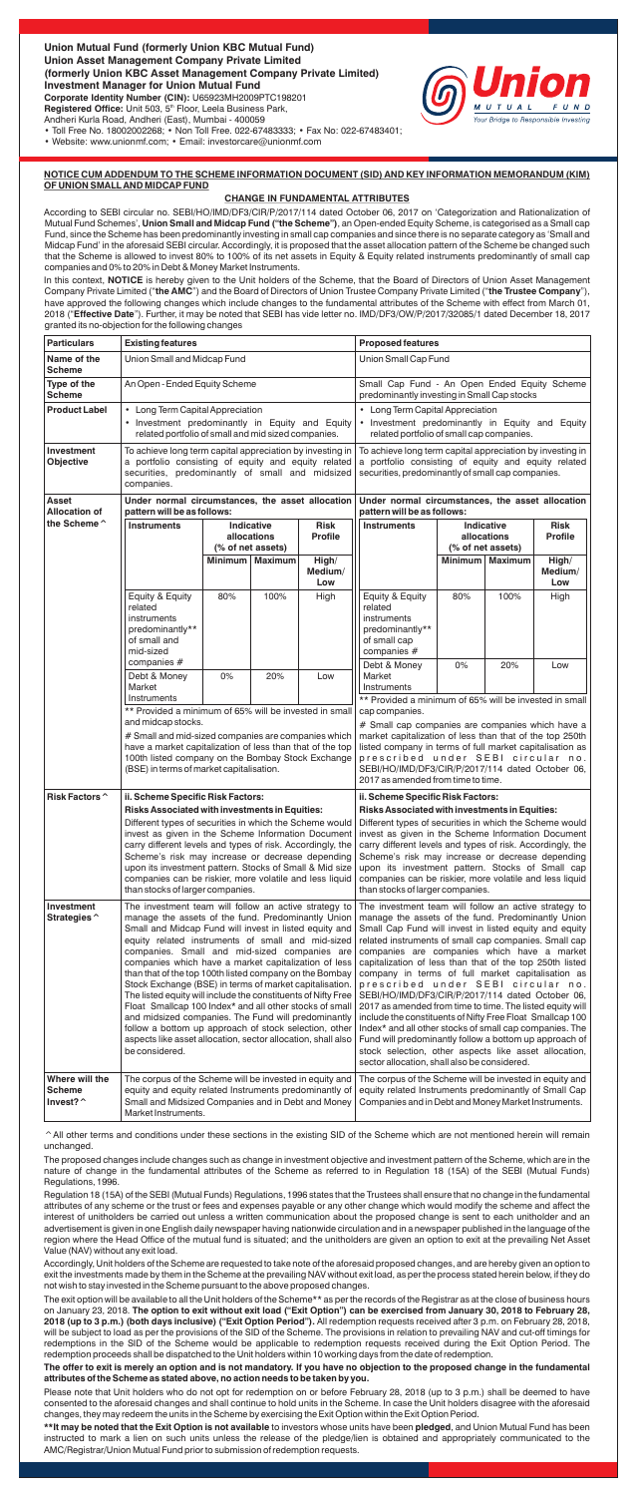

• Toll Free No. 18002002268; • Non Toll Free. 022-67483333; • Fax No: 022-67483401;

• Website: www.unionmf.com; • Email: investorcare@unionmf.com

## **NOTICE CUM ADDENDUM TO THE SCHEME INFORMATION DOCUMENT (SID) AND KEY INFORMATION MEMORANDUM (KIM) OF UNION SMALL AND MIDCAP FUND**

### **CHANGE IN FUNDAMENTAL ATTRIBUTES**

In this context, NOTICE is hereby given to the Unit holders of the Scheme, that the Board of Directors of Union Asset Management Company Private Limited ("**the AMC**") and the Board of Directors of Union Trustee Company Private Limited ("**the Trustee Company**"), have approved the following changes which include changes to the fundamental attributes of the Scheme with effect from March 01, 2018 ("**Effective Date**"). Further, it may be noted that SEBI has vide letter no. IMD/DF3/OW/P/2017/32085/1 dated December 18, 2017 granted its no-objection for the following changes

According to SEBI circular no. SEBI/HO/IMD/DF3/CIR/P/2017/114 dated October 06, 2017 on 'Categorization and Rationalization of Mutual Fund Schemes', **Union Small and Midcap Fund ("the Scheme")**, an Open-ended Equity Scheme, is categorised as a Small cap Fund, since the Scheme has been predominantly investing in small cap companies and since there is no separate category as 'Small and Midcap Fund' in the aforesaid SEBI circular. Accordingly, it is proposed that the asset allocation pattern of the Scheme be changed such that the Scheme is allowed to invest 80% to 100% of its net assets in Equity & Equity related instruments predominantly of small cap companies and 0% to 20% in Debt & Money Market Instruments.

^All other terms and conditions under these sections in the existing SID of the Scheme which are not mentioned herein will remain unchanged.

The proposed changes include changes such as change in investment objective and investment pattern of the Scheme, which are in the nature of change in the fundamental attributes of the Scheme as referred to in Regulation 18 (15A) of the SEBI (Mutual Funds) Regulations, 1996.

Regulation 18 (15A) of the SEBI (Mutual Funds) Regulations, 1996 states that the Trustees shall ensure that no change in the fundamental attributes of any scheme or the trust or fees and expenses payable or any other change which would modify the scheme and affect the interest of unitholders be carried out unless a written communication about the proposed change is sent to each unitholder and an advertisement is given in one English daily newspaper having nationwide circulation and in a newspaper published in the language of the region where the Head Office of the mutual fund is situated; and the unitholders are given an option to exit at the prevailing Net Asset Value (NAV) without any exit load.

Accordingly, Unit holders of the Scheme are requested to take note of the aforesaid proposed changes, and are hereby given an option to exit the investments made by them in the Scheme at the prevailing NAV without exit load, as per the process stated herein below, if they do not wish to stay invested in the Scheme pursuant to the above proposed changes.

The exit option will be available to all the Unit holders of the Scheme\*\* as per the records of the Registrar as at the close of business hours on January 23, 2018. **The option to exit without exit load ("Exit Option") can be exercised from January 30, 2018 to February 28, 2018 (up to 3 p.m.) (both days inclusive) ("Exit Option Period").** All redemption requests received after 3 p.m. on February 28, 2018, will be subject to load as per the provisions of the SID of the Scheme. The provisions in relation to prevailing NAV and cut-off timings for redemptions in the SID of the Scheme would be applicable to redemption requests received during the Exit Option Period. The redemption proceeds shall be dispatched to the Unit holders within 10 working days from the date of redemption.

#### **The offer to exit is merely an option and is not mandatory. If you have no objection to the proposed change in the fundamental attributes of the Scheme as stated above, no action needs to be taken by you.**

Please note that Unit holders who do not opt for redemption on or before February 28, 2018 (up to 3 p.m.) shall be deemed to have consented to the aforesaid changes and shall continue to hold units in the Scheme. In case the Unit holders disagree with the aforesaid changes, they may redeem the units in the Scheme by exercising the Exit Option within the Exit Option Period.

**\*\*It may be noted that the Exit Option is not available** to investors whose units have been **pledged**, and Union Mutual Fund has been instructed to mark a lien on such units unless the release of the pledge/lien is obtained and appropriately communicated to the AMC/Registrar/Union Mutual Fund prior to submission of redemption requests.

| Name of the<br>Union Small and Midcap Fund<br>Union Small Cap Fund<br>Scheme<br>Small Cap Fund - An Open Ended Equity Scheme<br>Type of the<br>An Open - Ended Equity Scheme<br><b>Scheme</b><br>predominantly investing in Small Cap stocks<br><b>Product Label</b><br>• Long Term Capital Appreciation<br>• Long Term Capital Appreciation<br>• Investment predominantly in Equity and Equity<br>• Investment predominantly in Equity and Equity<br>related portfolio of small and mid sized companies.<br>related portfolio of small cap companies.<br>Investment<br>To achieve long term capital appreciation by investing in<br>To achieve long term capital appreciation by investing in<br>Objective<br>a portfolio consisting of equity and equity related<br>a portfolio consisting of equity and equity related<br>securities, predominantly of small and midsized<br>securities, predominantly of small cap companies.<br>companies.<br>Asset<br>Under normal circumstances, the asset allocation<br>Under normal circumstances, the asset allocation<br><b>Allocation of</b><br>pattern will be as follows:<br>pattern will be as follows:<br>the Scheme ^<br><b>Instruments</b><br>Indicative<br>Risk<br><b>Instruments</b><br>Indicative<br><b>Risk</b><br><b>Profile</b><br><b>Profile</b><br>allocations<br>allocations<br>(% of net assets)<br>(% of net assets)<br><b>Minimum</b><br><b>Maximum</b><br><b>Minimum</b><br><b>Maximum</b><br>High/<br>High/<br>Medium/<br>Medium/<br>Low<br>Low<br>Equity & Equity<br>80%<br>100%<br>High<br>Equity & Equity<br>80%<br>100%<br>High                                                                      |  |
|--------------------------------------------------------------------------------------------------------------------------------------------------------------------------------------------------------------------------------------------------------------------------------------------------------------------------------------------------------------------------------------------------------------------------------------------------------------------------------------------------------------------------------------------------------------------------------------------------------------------------------------------------------------------------------------------------------------------------------------------------------------------------------------------------------------------------------------------------------------------------------------------------------------------------------------------------------------------------------------------------------------------------------------------------------------------------------------------------------------------------------------------------------------------------------------------------------------------------------------------------------------------------------------------------------------------------------------------------------------------------------------------------------------------------------------------------------------------------------------------------------------------------------------------------------------------------------------------------------------------------------------------------------------------------|--|
|                                                                                                                                                                                                                                                                                                                                                                                                                                                                                                                                                                                                                                                                                                                                                                                                                                                                                                                                                                                                                                                                                                                                                                                                                                                                                                                                                                                                                                                                                                                                                                                                                                                                          |  |
|                                                                                                                                                                                                                                                                                                                                                                                                                                                                                                                                                                                                                                                                                                                                                                                                                                                                                                                                                                                                                                                                                                                                                                                                                                                                                                                                                                                                                                                                                                                                                                                                                                                                          |  |
|                                                                                                                                                                                                                                                                                                                                                                                                                                                                                                                                                                                                                                                                                                                                                                                                                                                                                                                                                                                                                                                                                                                                                                                                                                                                                                                                                                                                                                                                                                                                                                                                                                                                          |  |
|                                                                                                                                                                                                                                                                                                                                                                                                                                                                                                                                                                                                                                                                                                                                                                                                                                                                                                                                                                                                                                                                                                                                                                                                                                                                                                                                                                                                                                                                                                                                                                                                                                                                          |  |
|                                                                                                                                                                                                                                                                                                                                                                                                                                                                                                                                                                                                                                                                                                                                                                                                                                                                                                                                                                                                                                                                                                                                                                                                                                                                                                                                                                                                                                                                                                                                                                                                                                                                          |  |
|                                                                                                                                                                                                                                                                                                                                                                                                                                                                                                                                                                                                                                                                                                                                                                                                                                                                                                                                                                                                                                                                                                                                                                                                                                                                                                                                                                                                                                                                                                                                                                                                                                                                          |  |
|                                                                                                                                                                                                                                                                                                                                                                                                                                                                                                                                                                                                                                                                                                                                                                                                                                                                                                                                                                                                                                                                                                                                                                                                                                                                                                                                                                                                                                                                                                                                                                                                                                                                          |  |
| related<br>related<br>instruments<br>instruments<br>predominantly**<br>predominantly**<br>of small and<br>of small cap<br>mid-sized<br>companies #<br>companies $#$                                                                                                                                                                                                                                                                                                                                                                                                                                                                                                                                                                                                                                                                                                                                                                                                                                                                                                                                                                                                                                                                                                                                                                                                                                                                                                                                                                                                                                                                                                      |  |
| Debt & Money<br>0%<br>20%<br>Low<br>Debt & Money<br>0%<br>20%<br>Low<br>Market<br>Market<br>Instruments<br>Instruments<br>** Provided a minimum of 65% will be invested in small                                                                                                                                                                                                                                                                                                                                                                                                                                                                                                                                                                                                                                                                                                                                                                                                                                                                                                                                                                                                                                                                                                                                                                                                                                                                                                                                                                                                                                                                                         |  |
| ** Provided a minimum of 65% will be invested in small<br>cap companies.<br>and midcap stocks.<br># Small cap companies are companies which have a<br># Small and mid-sized companies are companies which<br>market capitalization of less than that of the top 250th<br>have a market capitalization of less than that of the top<br>listed company in terms of full market capitalisation as<br>100th listed company on the Bombay Stock Exchange<br>prescribed under SEBI circular no.<br>(BSE) in terms of market capitalisation.<br>SEBI/HO/IMD/DF3/CIR/P/2017/114 dated October 06,<br>2017 as amended from time to time.                                                                                                                                                                                                                                                                                                                                                                                                                                                                                                                                                                                                                                                                                                                                                                                                                                                                                                                                                                                                                                          |  |
| Risk Factors ^<br>ii. Scheme Specific Risk Factors:<br>ii. Scheme Specific Risk Factors:                                                                                                                                                                                                                                                                                                                                                                                                                                                                                                                                                                                                                                                                                                                                                                                                                                                                                                                                                                                                                                                                                                                                                                                                                                                                                                                                                                                                                                                                                                                                                                                 |  |
| <b>Risks Associated with investments in Equities:</b><br>Risks Associated with investments in Equities:<br>Different types of securities in which the Scheme would<br>Different types of securities in which the Scheme would<br>invest as given in the Scheme Information Document<br>invest as given in the Scheme Information Document<br>carry different levels and types of risk. Accordingly, the<br>carry different levels and types of risk. Accordingly, the<br>Scheme's risk may increase or decrease depending<br>Scheme's risk may increase or decrease depending<br>upon its investment pattern. Stocks of Small & Mid size<br>upon its investment pattern. Stocks of Small cap<br>companies can be riskier, more volatile and less liquid<br>companies can be riskier, more volatile and less liquid<br>than stocks of larger companies.<br>than stocks of larger companies.                                                                                                                                                                                                                                                                                                                                                                                                                                                                                                                                                                                                                                                                                                                                                                               |  |
| Investment<br>The investment team will follow an active strategy to<br>The investment team will follow an active strategy to<br>manage the assets of the fund. Predominantly Union<br>manage the assets of the fund. Predominantly Union<br>Strategies ^<br>Small Cap Fund will invest in listed equity and equity<br>Small and Midcap Fund will invest in listed equity and<br>equity related instruments of small and mid-sized<br>related instruments of small cap companies. Small cap<br>companies are companies which have a market<br>companies. Small and mid-sized companies are<br>companies which have a market capitalization of less<br>capitalization of less than that of the top 250th listed<br>than that of the top 100th listed company on the Bombay<br>company in terms of full market capitalisation as<br>prescribed under SEBI circular no.<br>Stock Exchange (BSE) in terms of market capitalisation.<br>The listed equity will include the constituents of Nifty Free<br>SEBI/HO/IMD/DF3/CIR/P/2017/114 dated October 06,<br>Float Smallcap 100 Index* and all other stocks of small<br>2017 as amended from time to time. The listed equity will<br>and midsized companies. The Fund will predominantly<br>include the constituents of Nifty Free Float Smallcap 100<br>follow a bottom up approach of stock selection, other<br>Index* and all other stocks of small cap companies. The<br>aspects like asset allocation, sector allocation, shall also<br>Fund will predominantly follow a bottom up approach of<br>stock selection, other aspects like asset allocation,<br>be considered.<br>sector allocation, shall also be considered. |  |
| Where will the<br>The corpus of the Scheme will be invested in equity and<br>The corpus of the Scheme will be invested in equity and<br>equity and equity related Instruments predominantly of<br>equity related Instruments predominantly of Small Cap<br>Scheme<br>Invest? ^<br>Small and Midsized Companies and in Debt and Money<br>Companies and in Debt and Money Market Instruments.<br>Market Instruments.                                                                                                                                                                                                                                                                                                                                                                                                                                                                                                                                                                                                                                                                                                                                                                                                                                                                                                                                                                                                                                                                                                                                                                                                                                                       |  |